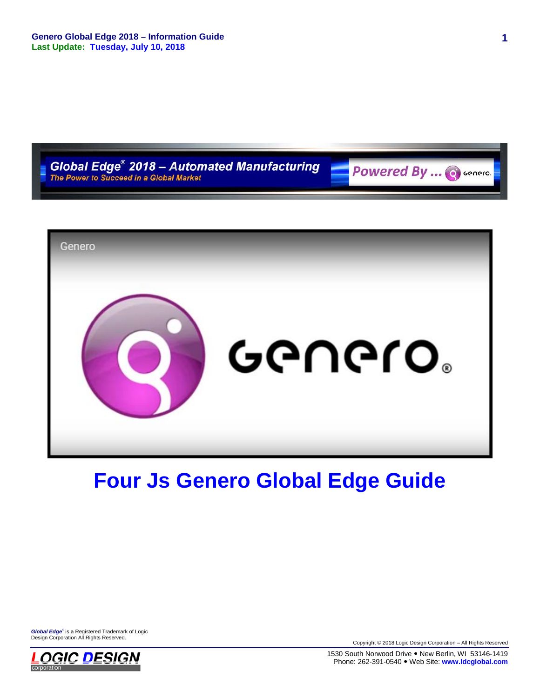

# **Four Js Genero Global Edge Guide**

*Global Edge*® is a Registered Trademark of Logic Design Corporation All Rights Reserved.



Copyright © 2018 Logic Design Corporation – All Rights Reserved

1530 South Norwood Drive . New Berlin, WI 53146-1419 Phone: 262-391-0540 Web Site: **www.ldcglobal.com**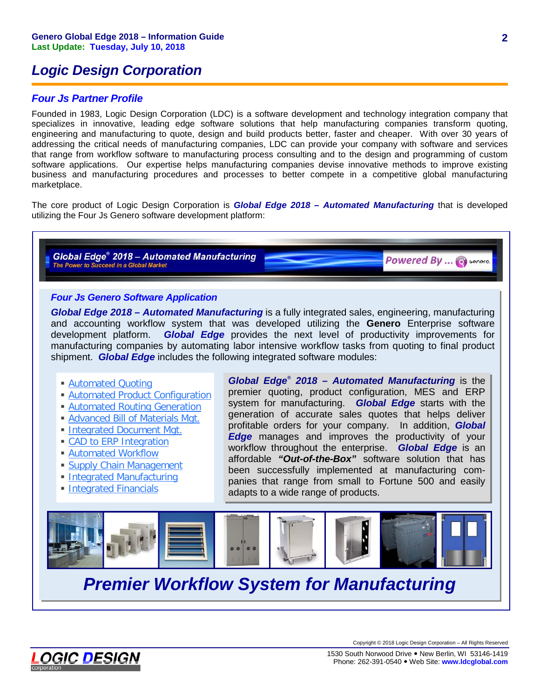# *Logic Design Corporation*

# *Four Js Partner Profile*

Founded in 1983, Logic Design Corporation (LDC) is a software development and technology integration company that specializes in innovative, leading edge software solutions that help manufacturing companies transform quoting, engineering and manufacturing to quote, design and build products better, faster and cheaper. With over 30 years of addressing the critical needs of manufacturing companies, LDC can provide your company with software and services that range from workflow software to manufacturing process consulting and to the design and programming of custom software applications. Our expertise helps manufacturing companies devise innovative methods to improve existing business and manufacturing procedures and processes to better compete in a competitive global manufacturing marketplace.

The core product of Logic Design Corporation is *Global Edge 2018 – Automated Manufacturing* that is developed utilizing the Four Js Genero software development platform:

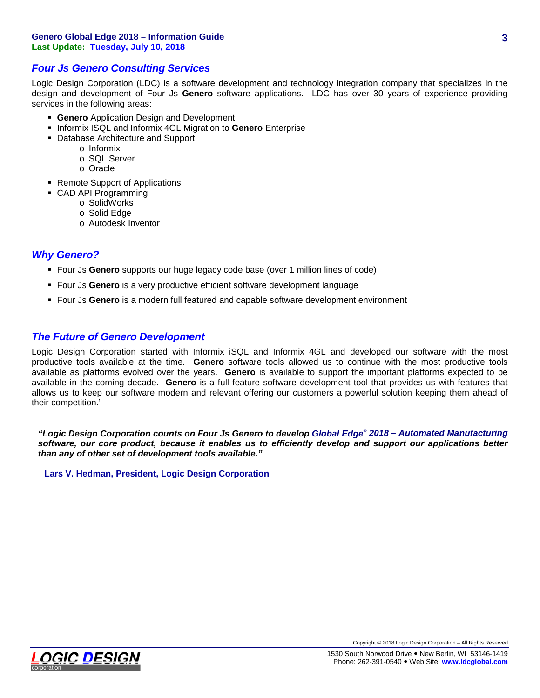#### **Genero Global Edge 2018 – Information Guide Last Update: Tuesday, July 10, 2018**

## *Four Js Genero Consulting Services*

Logic Design Corporation (LDC) is a software development and technology integration company that specializes in the design and development of Four Js **Genero** software applications. LDC has over 30 years of experience providing services in the following areas:

- **Genero** Application Design and Development
- **Informix ISQL and Informix 4GL Migration to Genero Enterprise**
- Database Architecture and Support
	- o Informix
	- o SQL Server
	- o Oracle
- Remote Support of Applications
- CAD API Programming
	- o SolidWorks
	- o Solid Edge
	- o Autodesk Inventor

### *Why Genero?*

- Four Js **Genero** supports our huge legacy code base (over 1 million lines of code)
- Four Js **Genero** is a very productive efficient software development language
- Four Js **Genero** is a modern full featured and capable software development environment

### *The Future of Genero Development*

Logic Design Corporation started with Informix iSQL and Informix 4GL and developed our software with the most productive tools available at the time. **Genero** software tools allowed us to continue with the most productive tools available as platforms evolved over the years. **Genero** is available to support the important platforms expected to be available in the coming decade. **Genero** is a full feature software development tool that provides us with features that allows us to keep our software modern and relevant offering our customers a powerful solution keeping them ahead of their competition."

*"Logic Design Corporation counts on Four Js Genero to develop Global Edge® 2018 – Automated Manufacturing software, our core product, because it enables us to efficiently develop and support our applications better than any of other set of development tools available."*

**Lars V. Hedman, President, Logic Design Corporation**

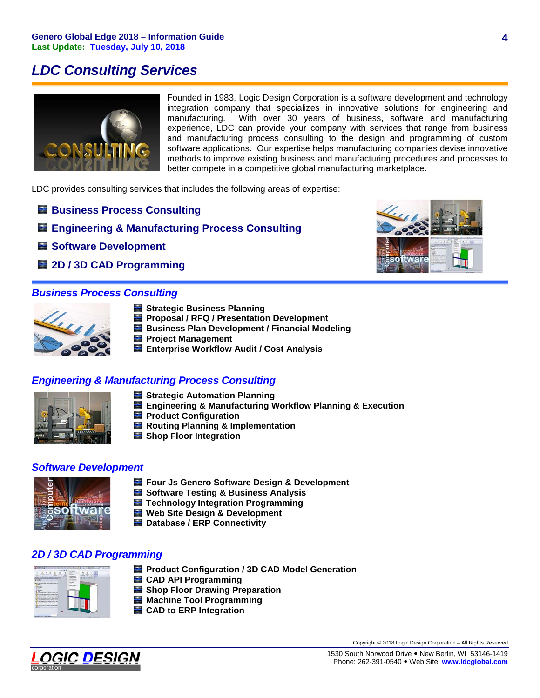# *LDC Consulting Services*



Founded in 1983, Logic Design Corporation is a software development and technology integration company that specializes in innovative solutions for engineering and manufacturing. With over 30 years of business, software and manufacturing experience, LDC can provide your company with services that range from business and manufacturing process consulting to the design and programming of custom software applications. Our expertise helps manufacturing companies devise innovative methods to improve existing business and manufacturing procedures and processes to better compete in a competitive global manufacturing marketplace.

LDC provides consulting services that includes the following areas of expertise:

- **Business Process Consulting**
- **Engineering & Manufacturing Process Consulting**
- **Software Development**
- **2D / 3D CAD Programming**

## *Business Process Consulting*



- **Strategic Business Planning**
- **Proposal / RFQ / Presentation Development**
- **Business Plan Development / Financial Modeling**
- **Project Management**
- **Enterprise Workflow Audit / Cost Analysis**

# *Engineering & Manufacturing Process Consulting*



- **Strategic Automation Planning**
- **Engineering & Manufacturing Workflow Planning & Execution**
- **Product Configuration**
- **Routing Planning & Implementation**
- **Shop Floor Integration**

### *Software Development*



- **Four Js Genero Software Design & Development**
- **Software Testing & Business Analysis**
- **Technology Integration Programming**
- **Web Site Design & Development**
- **Database / ERP Connectivity**

# *2D / 3D CAD Programming*



- **Product Configuration / 3D CAD Model Generation**
- **E** CAD API Programming
- **Shop Floor Drawing Preparation**
- **Machine Tool Programming**
- **CAD to ERP Integration**



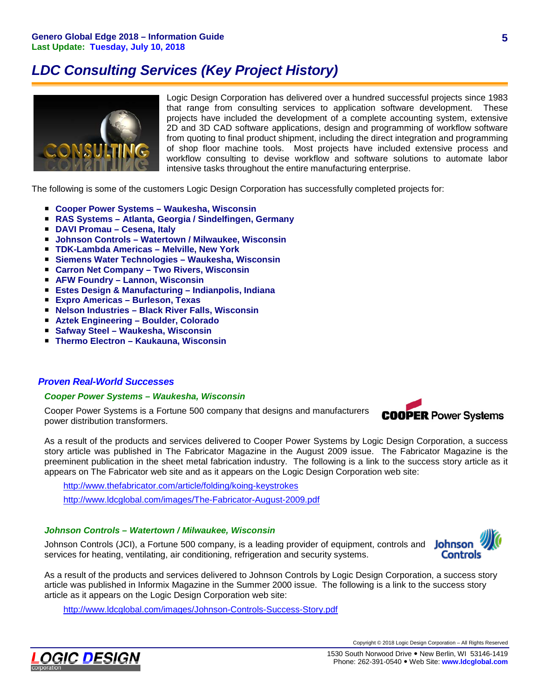# *LDC Consulting Services (Key Project History)*



Logic Design Corporation has delivered over a hundred successful projects since 1983 that range from consulting services to application software development. These projects have included the development of a complete accounting system, extensive 2D and 3D CAD software applications, design and programming of workflow software from quoting to final product shipment, including the direct integration and programming of shop floor machine tools. Most projects have included extensive process and workflow consulting to devise workflow and software solutions to automate labor intensive tasks throughout the entire manufacturing enterprise.

The following is some of the customers Logic Design Corporation has successfully completed projects for:

- **Cooper Power Systems – Waukesha, Wisconsin**
- **RAS Systems – Atlanta, Georgia / Sindelfingen, Germany**
- **DAVI Promau – Cesena, Italy**
- **Johnson Controls – Watertown / Milwaukee, Wisconsin**
- **TDK-Lambda Americas – Melville, New York**
- **Siemens Water Technologies – Waukesha, Wisconsin**
- **Carron Net Company – Two Rivers, Wisconsin**
- **AFW Foundry – Lannon, Wisconsin**
- **Estes Design & Manufacturing – Indianpolis, Indiana**
- **Expro Americas – Burleson, Texas**
- **Nelson Industries – Black River Falls, Wisconsin**
- **Aztek Engineering – Boulder, Colorado**
- Safway Steel Waukesha, Wisconsin
- **Thermo Electron Kaukauna, Wisconsin**

#### *Proven Real-World Successes*

#### *Cooper Power Systems – Waukesha, Wisconsin*

Cooper Power Systems is a Fortune 500 company that designs and manufacturers power distribution transformers.



As a result of the products and services delivered to Cooper Power Systems by Logic Design Corporation, a success story article was published in The Fabricator Magazine in the August 2009 issue. The Fabricator Magazine is the preeminent publication in the sheet metal fabrication industry. The following is a link to the success story article as it appears on The Fabricator web site and as it appears on the Logic Design Corporation web site:

<http://www.thefabricator.com/article/folding/koing-keystrokes> <http://www.ldcglobal.com/images/The-Fabricator-August-2009.pdf>

### *Johnson Controls – Watertown / Milwaukee, Wisconsin*

Johnson Controls (JCI), a Fortune 500 company, is a leading provider of equipment, controls and Johnson services for heating, ventilating, air conditioning, refrigeration and security systems.



As a result of the products and services delivered to Johnson Controls by Logic Design Corporation, a success story article was published in Informix Magazine in the Summer 2000 issue. The following is a link to the success story article as it appears on the Logic Design Corporation web site:

<http://www.ldcglobal.com/images/Johnson-Controls-Success-Story.pdf>

**5**

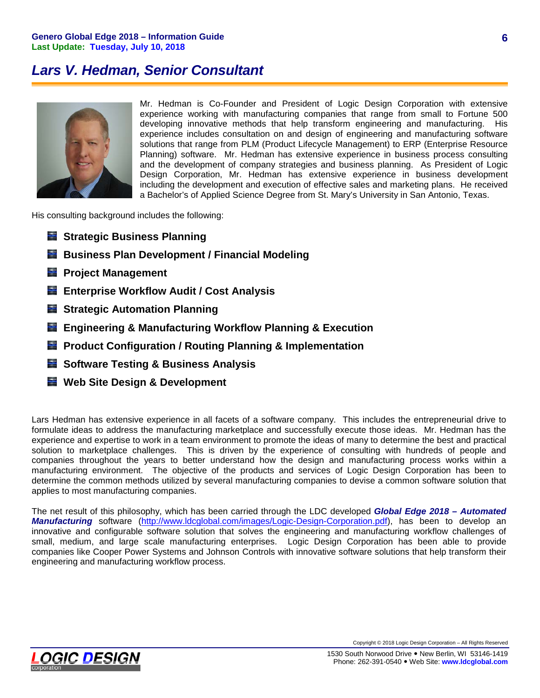# *Lars V. Hedman, Senior Consultant*



Mr. Hedman is Co-Founder and President of Logic Design Corporation with extensive experience working with manufacturing companies that range from small to Fortune 500 developing innovative methods that help transform engineering and manufacturing. His experience includes consultation on and design of engineering and manufacturing software solutions that range from PLM (Product Lifecycle Management) to ERP (Enterprise Resource Planning) software. Mr. Hedman has extensive experience in business process consulting and the development of company strategies and business planning. As President of Logic Design Corporation, Mr. Hedman has extensive experience in business development including the development and execution of effective sales and marketing plans. He received a Bachelor's of Applied Science Degree from St. Mary's University in San Antonio, Texas.

His consulting background includes the following:

- **Strategic Business Planning**
- **Business Plan Development / Financial Modeling**
- **Project Management**
- **Enterprise Workflow Audit / Cost Analysis**
- **Strategic Automation Planning**
- **Engineering & Manufacturing Workflow Planning & Execution**
- **Product Configuration / Routing Planning & Implementation**
- **Software Testing & Business Analysis**
- **Web Site Design & Development**

Lars Hedman has extensive experience in all facets of a software company. This includes the entrepreneurial drive to formulate ideas to address the manufacturing marketplace and successfully execute those ideas. Mr. Hedman has the experience and expertise to work in a team environment to promote the ideas of many to determine the best and practical solution to marketplace challenges. This is driven by the experience of consulting with hundreds of people and companies throughout the years to better understand how the design and manufacturing process works within a manufacturing environment. The objective of the products and services of Logic Design Corporation has been to determine the common methods utilized by several manufacturing companies to devise a common software solution that applies to most manufacturing companies.

The net result of this philosophy, which has been carried through the LDC developed *Global Edge 2018 – Automated Manufacturing* software [\(http://www.ldcglobal.com/images/Logic-Design-Corporation.pdf\)](http://www.ldcglobal.com/images/Logic-Design-Corporation.pdf), has been to develop an innovative and configurable software solution that solves the engineering and manufacturing workflow challenges of small, medium, and large scale manufacturing enterprises. Logic Design Corporation has been able to provide companies like Cooper Power Systems and Johnson Controls with innovative software solutions that help transform their engineering and manufacturing workflow process.